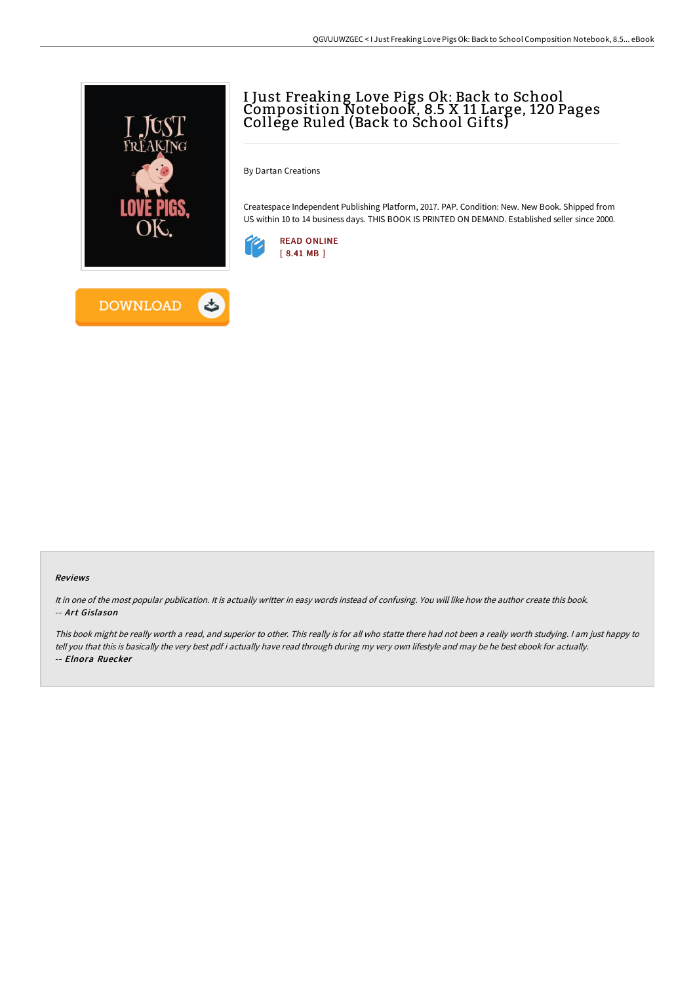

## I Just Freaking Love Pigs Ok: Back to School Composition Notebook, 8.5 X 11 Large, 120 Pages College Ruled (Back to School Gifts)

By Dartan Creations

Createspace Independent Publishing Platform, 2017. PAP. Condition: New. New Book. Shipped from US within 10 to 14 business days. THIS BOOK IS PRINTED ON DEMAND. Established seller since 2000.



## Reviews

It in one of the most popular publication. It is actually writter in easy words instead of confusing. You will like how the author create this book. -- Art Gislason

This book might be really worth <sup>a</sup> read, and superior to other. This really is for all who statte there had not been <sup>a</sup> really worth studying. <sup>I</sup> am just happy to tell you that this is basically the very best pdf i actually have read through during my very own lifestyle and may be he best ebook for actually. -- Elnora Ruecker